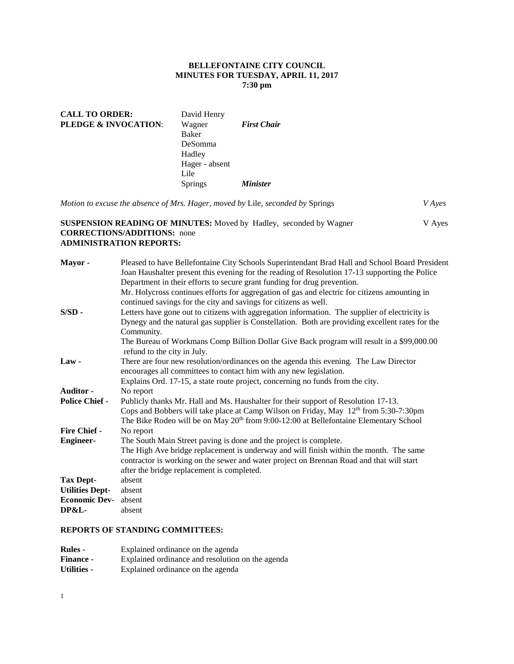## **BELLEFONTAINE CITY COUNCIL MINUTES FOR TUESDAY, APRIL 11, 2017 7:30 pm**

| <b>CALL TO ORDER:</b>           | David Henry    |                    |
|---------------------------------|----------------|--------------------|
| <b>PLEDGE &amp; INVOCATION:</b> | Wagner         | <b>First Chair</b> |
|                                 | Baker          |                    |
|                                 | DeSomma        |                    |
|                                 | Hadley         |                    |
|                                 | Hager - absent |                    |
|                                 | Lile           |                    |
|                                 | <b>Springs</b> | <b>Minister</b>    |

*Motion to excuse the absence of Mrs. Hager, moved by* Lile, *seconded by* Springs *V Ayes*  **SUSPENSION READING OF MINUTES:** Moved by Hadley, seconded by Wagner V Ayes **CORRECTIONS/ADDITIONS:** none

# **ADMINISTRATION REPORTS:**

| Mayor-                 | Pleased to have Bellefontaine City Schools Superintendant Brad Hall and School Board President    |
|------------------------|---------------------------------------------------------------------------------------------------|
|                        | Joan Haushalter present this evening for the reading of Resolution 17-13 supporting the Police    |
|                        | Department in their efforts to secure grant funding for drug prevention.                          |
|                        | Mr. Holycross continues efforts for aggregation of gas and electric for citizens amounting in     |
|                        | continued savings for the city and savings for citizens as well.                                  |
| $S/SD -$               | Letters have gone out to citizens with aggregation information. The supplier of electricity is    |
|                        | Dynegy and the natural gas supplier is Constellation. Both are providing excellent rates for the  |
|                        | Community.                                                                                        |
|                        | The Bureau of Workmans Comp Billion Dollar Give Back program will result in a \$99,000.00         |
|                        | refund to the city in July.                                                                       |
| $Law -$                | There are four new resolution/ordinances on the agenda this evening. The Law Director             |
|                        | encourages all committees to contact him with any new legislation.                                |
|                        | Explains Ord. 17-15, a state route project, concerning no funds from the city.                    |
| Auditor -              | No report                                                                                         |
| <b>Police Chief -</b>  | Publicly thanks Mr. Hall and Ms. Haushalter for their support of Resolution 17-13.                |
|                        | Cops and Bobbers will take place at Camp Wilson on Friday, May $12th$ from 5:30-7:30pm            |
|                        | The Bike Rodeo will be on May 20 <sup>th</sup> from 9:00-12:00 at Bellefontaine Elementary School |
| <b>Fire Chief -</b>    | No report                                                                                         |
| <b>Engineer-</b>       | The South Main Street paving is done and the project is complete.                                 |
|                        | The High Ave bridge replacement is underway and will finish within the month. The same            |
|                        | contractor is working on the sewer and water project on Brennan Road and that will start          |
|                        | after the bridge replacement is completed.                                                        |
| Tax Dept-              | absent                                                                                            |
| <b>Utilities Dept-</b> | absent                                                                                            |
| <b>Economic Dev-</b>   | absent                                                                                            |
| <b>DP&amp;L-</b>       | absent                                                                                            |
|                        |                                                                                                   |

## **REPORTS OF STANDING COMMITTEES:**

| <b>Rules -</b>     | Explained ordinance on the agenda                |
|--------------------|--------------------------------------------------|
| <b>Finance -</b>   | Explained ordinance and resolution on the agenda |
| <b>Utilities -</b> | Explained ordinance on the agenda                |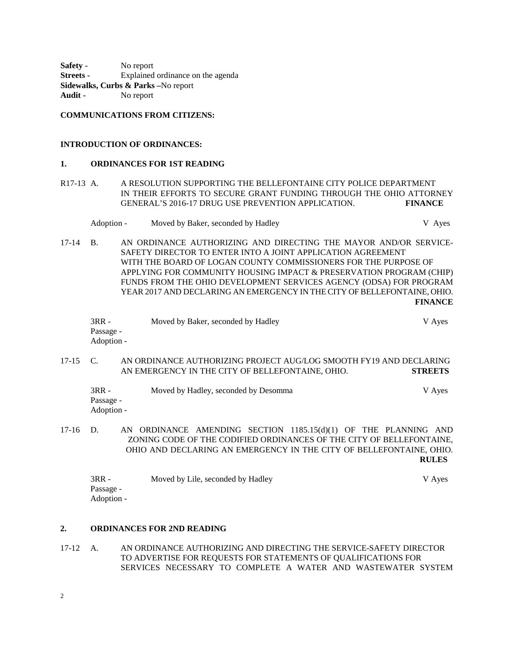**Safety -** No report **Streets -** Explained ordinance on the agenda **Sidewalks, Curbs & Parks –**No report **Audit -** No report

## **COMMUNICATIONS FROM CITIZENS:**

#### **INTRODUCTION OF ORDINANCES:**

#### **1. ORDINANCES FOR 1ST READING**

- R17-13 A. A RESOLUTION SUPPORTING THE BELLEFONTAINE CITY POLICE DEPARTMENT IN THEIR EFFORTS TO SECURE GRANT FUNDING THROUGH THE OHIO ATTORNEY GENERAL'S 2016-17 DRUG USE PREVENTION APPLICATION. **FINANCE**
	- Adoption Moved by Baker, seconded by Hadley V Ayes
- 17-14 B. AN ORDINANCE AUTHORIZING AND DIRECTING THE MAYOR AND/OR SERVICE-SAFETY DIRECTOR TO ENTER INTO A JOINT APPLICATION AGREEMENT WITH THE BOARD OF LOGAN COUNTY COMMISSIONERS FOR THE PURPOSE OF APPLYING FOR COMMUNITY HOUSING IMPACT & PRESERVATION PROGRAM (CHIP) FUNDS FROM THE OHIO DEVELOPMENT SERVICES AGENCY (ODSA) FOR PROGRAM YEAR 2017 AND DECLARING AN EMERGENCY IN THE CITY OF BELLEFONTAINE, OHIO. **FINANCE**

| $3RR -$    | Moved by Baker, seconded by Hadley | V Aves |
|------------|------------------------------------|--------|
| Passage -  |                                    |        |
| Adoption - |                                    |        |

17-15 C. AN ORDINANCE AUTHORIZING PROJECT AUG/LOG SMOOTH FY19 AND DECLARING AN EMERGENCY IN THE CITY OF BELLEFONTAINE, OHIO. **STREETS**

| $3RR -$    | Moved by Hadley, seconded by Desomma | V Ayes |
|------------|--------------------------------------|--------|
| Passage -  |                                      |        |
| Adoption - |                                      |        |

17-16 D. AN ORDINANCE AMENDING SECTION 1185.15(d)(1) OF THE PLANNING AND ZONING CODE OF THE CODIFIED ORDINANCES OF THE CITY OF BELLEFONTAINE, OHIO AND DECLARING AN EMERGENCY IN THE CITY OF BELLEFONTAINE, OHIO. **RULES**

| 3RR -      | Moved by Lile, seconded by Hadley | V Ayes |
|------------|-----------------------------------|--------|
| Passage -  |                                   |        |
| Adoption - |                                   |        |

### **2. ORDINANCES FOR 2ND READING**

17-12 A. AN ORDINANCE AUTHORIZING AND DIRECTING THE SERVICE-SAFETY DIRECTOR TO ADVERTISE FOR REQUESTS FOR STATEMENTS OF QUALIFICATIONS FOR SERVICES NECESSARY TO COMPLETE A WATER AND WASTEWATER SYSTEM

2